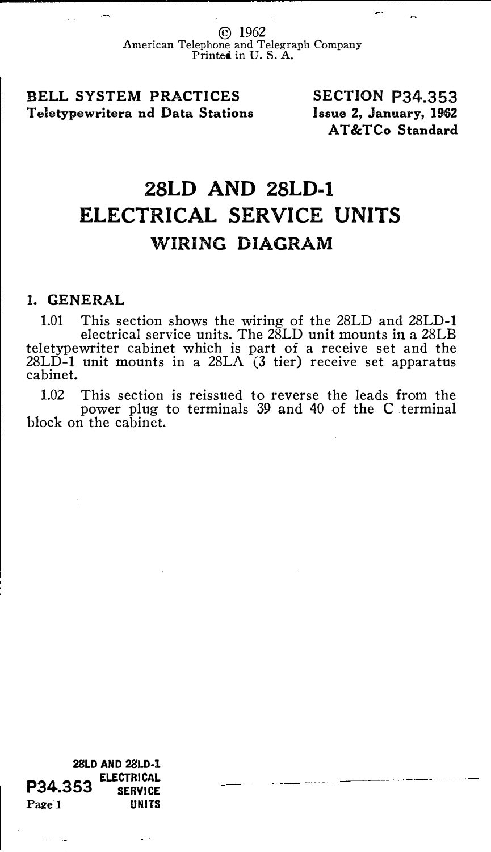© 1962 American Telephone and Telegraph Company Printed in U. S. A.

BELL SYSTEM PRACTICES Teletypewritera nd Data Stations SECTION P34.353 Issue 2, January, 1962 AT &TCo Standard

## 28LD AND 28LD-1 ELECTRICAL SERVICE UNITS WIRING DIAGRAM

## 1. GENERAL

1.01 This section shows the wiring of the 28LD and 28LD-1 electrical service units. The 28LD unit mounts in a 28LB teletypewriter cabinet which is part of a receive set and the 28LD-1 unit mounts in a 28LA (3 tier) receive set apparatus cabinet.

1.02 This section is reissued to reverse the leads from the power plug to terminals 39 and 40 of the C terminal block on the cabinet.

28LD AND 28LD·l P34,353 ELECTRICAL<br>SERVICE **SERVICE** Page 1 UNITS

وران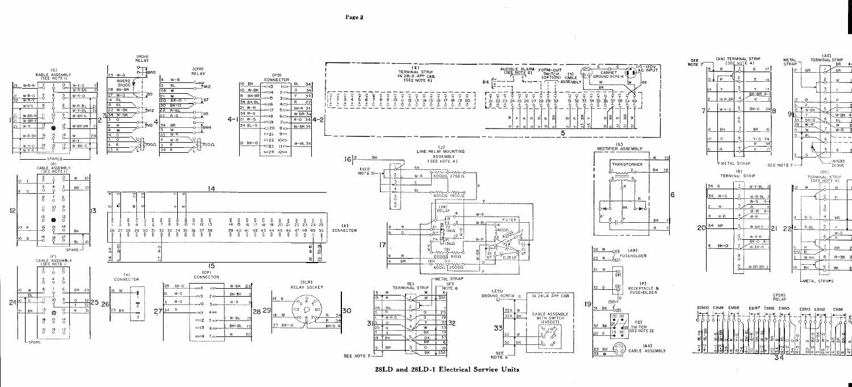

28LD and 28LD-1 Electrical Service Units

Page 2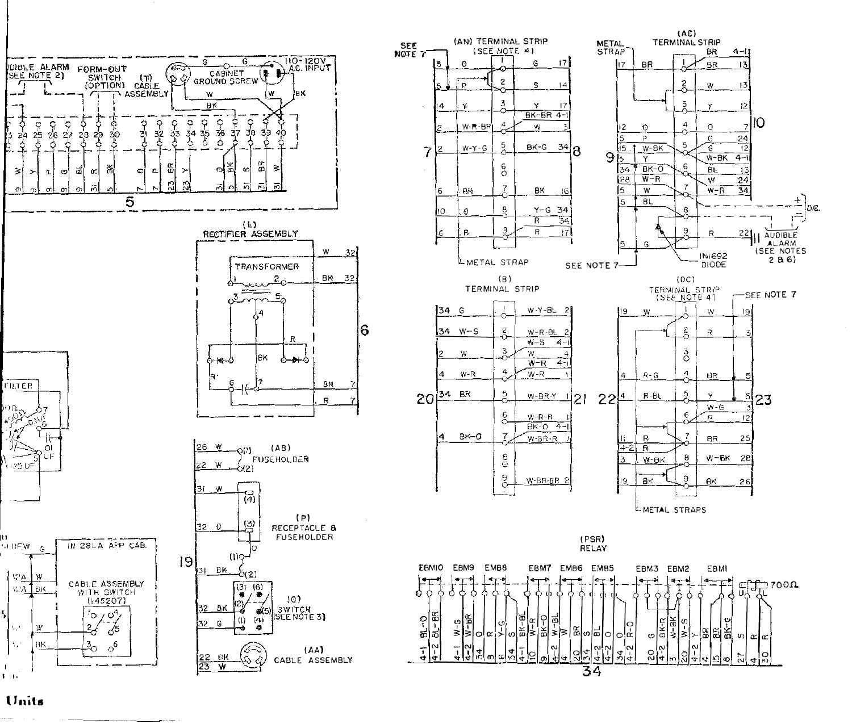